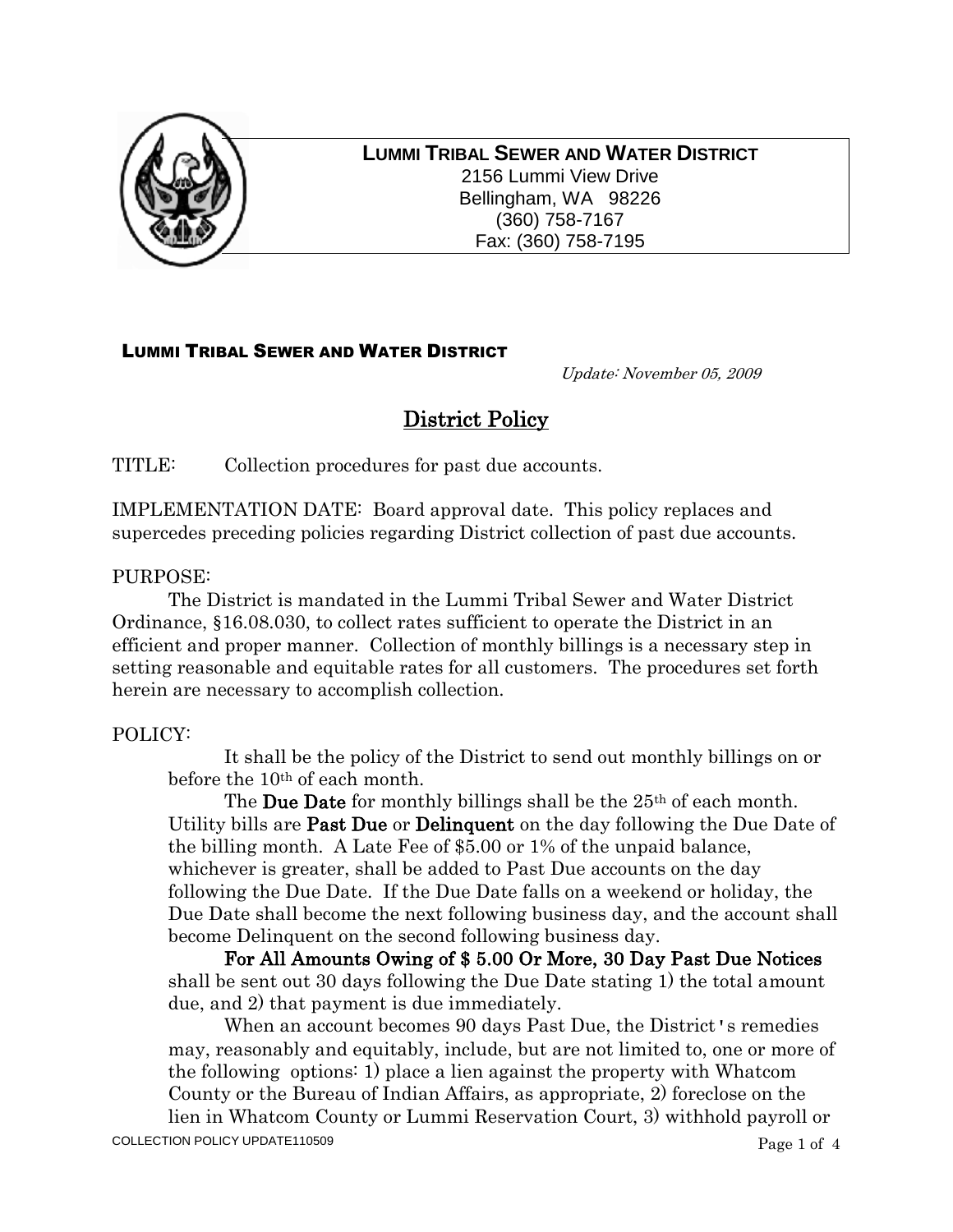

**LUMMI TRIBAL SEWER AND WATER DISTRICT** 2156 Lummi View Drive Bellingham, WA 98226 (360) 758-7167 Fax: (360) 758-7195

## LUMMI TRIBAL SEWER AND WATER DISTRICT

Update: November 05, 2009

# District Policy

TITLE: Collection procedures for past due accounts.

IMPLEMENTATION DATE: Board approval date. This policy replaces and supercedes preceding policies regarding District collection of past due accounts.

### PURPOSE:

The District is mandated in the Lummi Tribal Sewer and Water District Ordinance, §16.08.030, to collect rates sufficient to operate the District in an efficient and proper manner. Collection of monthly billings is a necessary step in setting reasonable and equitable rates for all customers. The procedures set forth herein are necessary to accomplish collection.

### POLICY:

It shall be the policy of the District to send out monthly billings on or before the 10<sup>th</sup> of each month.

The **Due Date** for monthly billings shall be the 25<sup>th</sup> of each month. Utility bills are **Past Due** or **Delinguent** on the day following the Due Date of the billing month. A Late Fee of \$5.00 or 1% of the unpaid balance, whichever is greater, shall be added to Past Due accounts on the day following the Due Date. If the Due Date falls on a weekend or holiday, the Due Date shall become the next following business day, and the account shall become Delinquent on the second following business day.

For All Amounts Owing of \$ 5.00 Or More, 30 Day Past Due Notices shall be sent out 30 days following the Due Date stating 1) the total amount due, and 2) that payment is due immediately.

When an account becomes 90 days Past Due, the District's remedies may, reasonably and equitably, include, but are not limited to, one or more of the following options: 1) place a lien against the property with Whatcom County or the Bureau of Indian Affairs, as appropriate, 2) foreclose on the lien in Whatcom County or Lummi Reservation Court, 3) withhold payroll or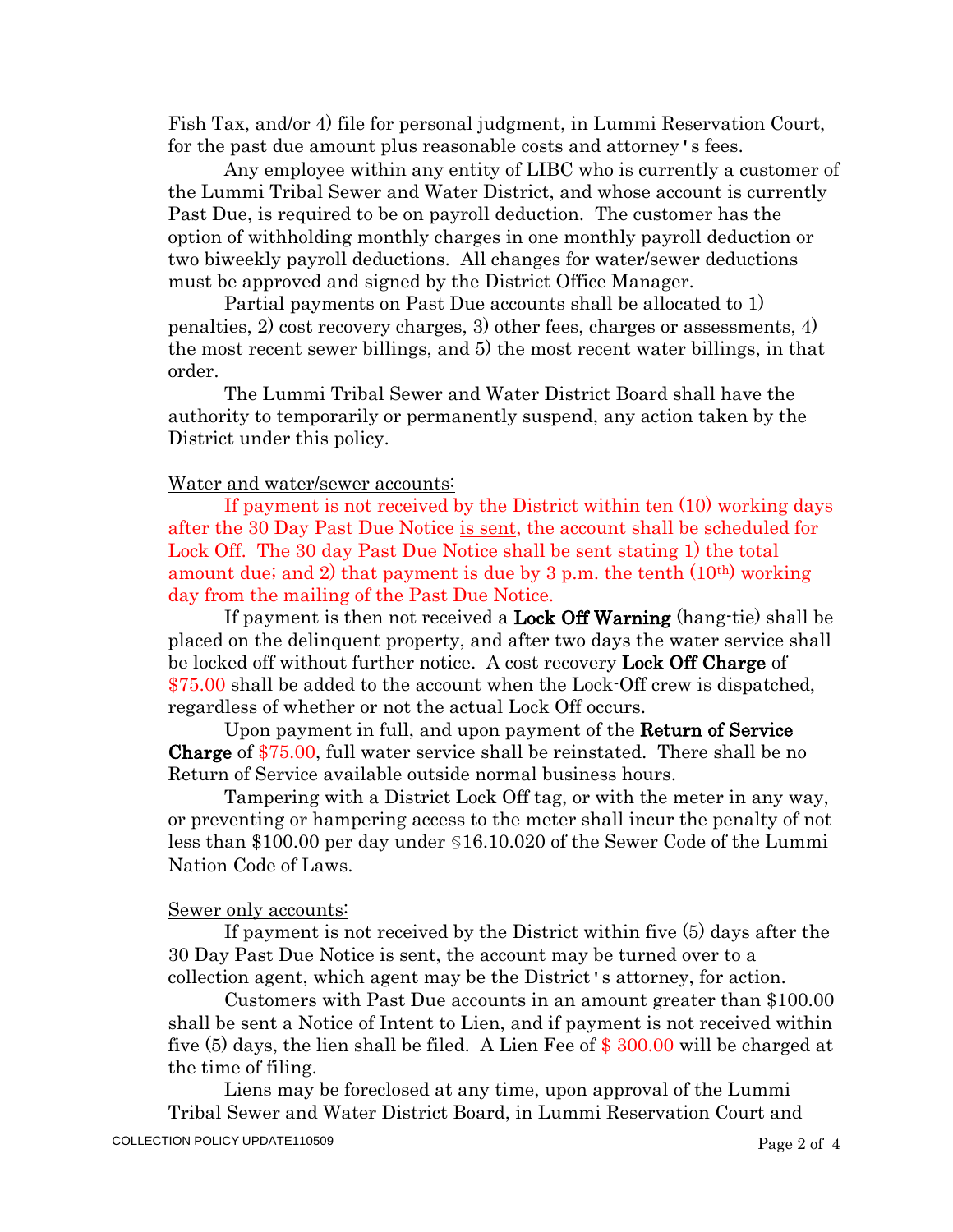Fish Tax, and/or 4) file for personal judgment, in Lummi Reservation Court, for the past due amount plus reasonable costs and attorney's fees.

Any employee within any entity of LIBC who is currently a customer of the Lummi Tribal Sewer and Water District, and whose account is currently Past Due, is required to be on payroll deduction. The customer has the option of withholding monthly charges in one monthly payroll deduction or two biweekly payroll deductions. All changes for water/sewer deductions must be approved and signed by the District Office Manager.

Partial payments on Past Due accounts shall be allocated to 1) penalties, 2) cost recovery charges, 3) other fees, charges or assessments, 4) the most recent sewer billings, and 5) the most recent water billings, in that order.

The Lummi Tribal Sewer and Water District Board shall have the authority to temporarily or permanently suspend, any action taken by the District under this policy.

#### Water and water/sewer accounts:

If payment is not received by the District within ten (10) working days after the 30 Day Past Due Notice is sent, the account shall be scheduled for Lock Off. The 30 day Past Due Notice shall be sent stating 1) the total amount due; and 2) that payment is due by 3 p.m. the tenth  $(10<sup>th</sup>)$  working day from the mailing of the Past Due Notice.

If payment is then not received a **Lock Off Warning** (hang-tie) shall be placed on the delinquent property, and after two days the water service shall be locked off without further notice. A cost recovery **Lock Off Charge** of \$75.00 shall be added to the account when the Lock-Off crew is dispatched, regardless of whether or not the actual Lock Off occurs.

Upon payment in full, and upon payment of the **Return of Service** Charge of \$75.00, full water service shall be reinstated. There shall be no Return of Service available outside normal business hours.

Tampering with a District Lock Off tag, or with the meter in any way, or preventing or hampering access to the meter shall incur the penalty of not less than \$100.00 per day under §16.10.020 of the Sewer Code of the Lummi Nation Code of Laws.

### Sewer only accounts:

If payment is not received by the District within five (5) days after the 30 Day Past Due Notice is sent, the account may be turned over to a collection agent, which agent may be the District's attorney, for action.

Customers with Past Due accounts in an amount greater than \$100.00 shall be sent a Notice of Intent to Lien, and if payment is not received within five (5) days, the lien shall be filed. A Lien Fee of \$ 300.00 will be charged at the time of filing.

Liens may be foreclosed at any time, upon approval of the Lummi Tribal Sewer and Water District Board, in Lummi Reservation Court and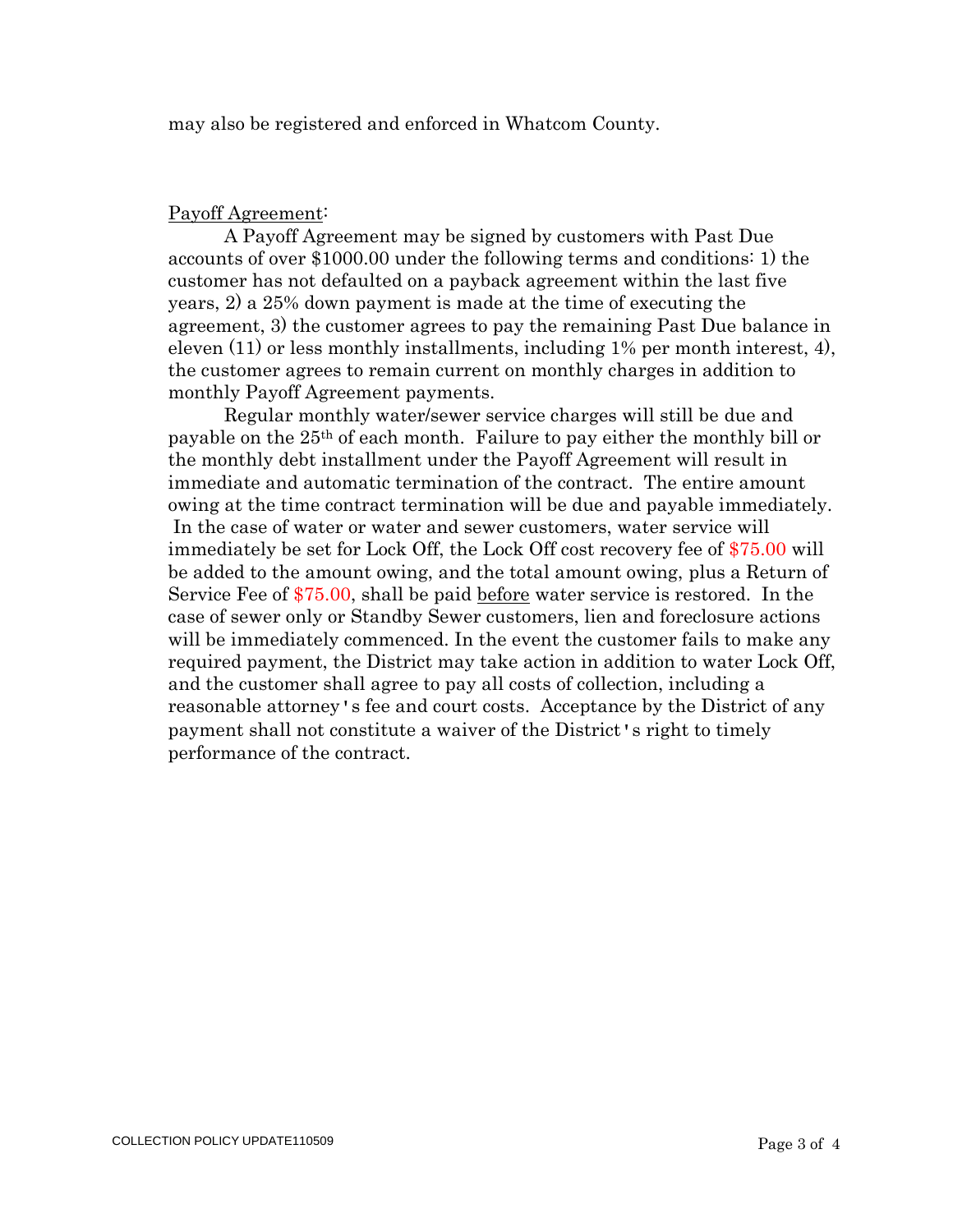may also be registered and enforced in Whatcom County.

### Payoff Agreement:

A Payoff Agreement may be signed by customers with Past Due accounts of over \$1000.00 under the following terms and conditions: 1) the customer has not defaulted on a payback agreement within the last five years, 2) a 25% down payment is made at the time of executing the agreement, 3) the customer agrees to pay the remaining Past Due balance in eleven (11) or less monthly installments, including 1% per month interest, 4), the customer agrees to remain current on monthly charges in addition to monthly Payoff Agreement payments.

Regular monthly water/sewer service charges will still be due and payable on the 25th of each month. Failure to pay either the monthly bill or the monthly debt installment under the Payoff Agreement will result in immediate and automatic termination of the contract. The entire amount owing at the time contract termination will be due and payable immediately. In the case of water or water and sewer customers, water service will immediately be set for Lock Off, the Lock Off cost recovery fee of \$75.00 will be added to the amount owing, and the total amount owing, plus a Return of Service Fee of \$75.00, shall be paid before water service is restored. In the case of sewer only or Standby Sewer customers, lien and foreclosure actions will be immediately commenced. In the event the customer fails to make any required payment, the District may take action in addition to water Lock Off, and the customer shall agree to pay all costs of collection, including a reasonable attorney's fee and court costs. Acceptance by the District of any payment shall not constitute a waiver of the District's right to timely performance of the contract.